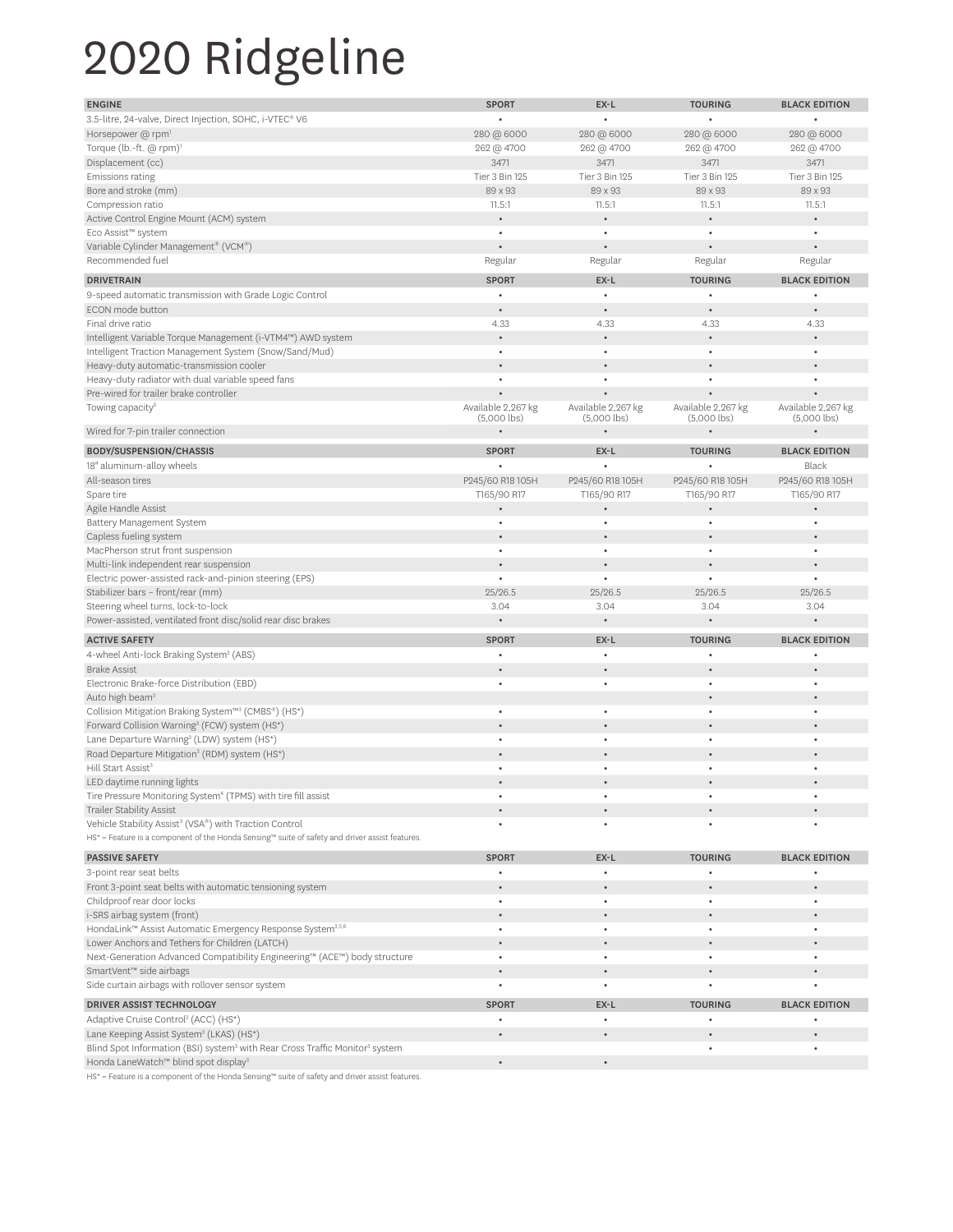## 2020 Ridgeline

| <b>ENGINE</b>                                                                                                               | <b>SPORT</b>       | EX-L                                | <b>TOURING</b>                      | <b>BLACK EDITION</b>                |
|-----------------------------------------------------------------------------------------------------------------------------|--------------------|-------------------------------------|-------------------------------------|-------------------------------------|
| 3.5-litre, 24-valve, Direct Injection, SOHC, i-VTEC® V6                                                                     |                    |                                     |                                     |                                     |
| Horsepower @ rpm <sup>1</sup>                                                                                               | 280 @ 6000         | 280 @ 6000                          | 280 @ 6000                          | 280 @ 6000                          |
| Torque (lb.-ft. @ rpm) <sup>1</sup>                                                                                         | 262 @ 4700         | 262 @ 4700                          | 262 @ 4700                          | 262 @ 4700                          |
| Displacement (cc)                                                                                                           | 3471               | 3471                                | 3471                                | 3471                                |
| Emissions rating                                                                                                            | Tier 3 Bin 125     | Tier 3 Bin 125                      | Tier 3 Bin 125                      | Tier 3 Bin 125                      |
| Bore and stroke (mm)                                                                                                        | 89 x 93            | 89 x 93                             | 89 x 93                             | 89 x 93                             |
| Compression ratio                                                                                                           | 11.5:1             | 11.5:1                              | 11.5:1                              | 11.5:1                              |
| Active Control Engine Mount (ACM) system                                                                                    |                    |                                     |                                     |                                     |
| Eco Assist™ system                                                                                                          | ٠                  | ٠                                   | ٠                                   | ٠                                   |
| Variable Cylinder Management® (VCM®)                                                                                        |                    |                                     |                                     |                                     |
| Recommended fuel                                                                                                            | Regular            | Regular                             | Regular                             | Regular                             |
| <b>DRIVETRAIN</b>                                                                                                           | <b>SPORT</b>       |                                     | <b>TOURING</b>                      |                                     |
|                                                                                                                             |                    | EX-L                                |                                     | <b>BLACK EDITION</b>                |
| 9-speed automatic transmission with Grade Logic Control                                                                     | ٠                  |                                     |                                     |                                     |
| ECON mode button                                                                                                            |                    |                                     |                                     |                                     |
| Final drive ratio                                                                                                           | 4.33               | 4.33                                | 4.33                                | 4.33                                |
| Intelligent Variable Torque Management (i-VTM4™) AWD system                                                                 |                    |                                     |                                     |                                     |
| Intelligent Traction Management System (Snow/Sand/Mud)                                                                      | $\bullet$          | $\bullet$                           |                                     |                                     |
| Heavy-duty automatic-transmission cooler                                                                                    |                    |                                     |                                     |                                     |
| Heavy-duty radiator with dual variable speed fans                                                                           |                    |                                     |                                     |                                     |
| Pre-wired for trailer brake controller                                                                                      | Available 2,267 kg |                                     |                                     |                                     |
| Towing capacity <sup>2</sup>                                                                                                | $(5,000$ lbs)      | Available 2,267 kg<br>$(5,000$ lbs) | Available 2,267 kg<br>$(5,000$ lbs) | Available 2,267 kg<br>$(5,000$ lbs) |
| Wired for 7-pin trailer connection                                                                                          |                    |                                     |                                     |                                     |
| <b>BODY/SUSPENSION/CHASSIS</b>                                                                                              | <b>SPORT</b>       | EX-L                                | <b>TOURING</b>                      | <b>BLACK EDITION</b>                |
| 18" aluminum-alloy wheels                                                                                                   |                    |                                     |                                     | Black                               |
| All-season tires                                                                                                            |                    |                                     |                                     |                                     |
|                                                                                                                             | P245/60 R18 105H   | P245/60 R18 105H                    | P245/60 R18 105H                    | P245/60 R18 105H<br>T165/90 R17     |
| Spare tire                                                                                                                  | T165/90 R17        | T165/90 R17                         | T165/90 R17                         |                                     |
| Agile Handle Assist<br>Battery Management System                                                                            | $\bullet$          |                                     |                                     |                                     |
| Capless fueling system                                                                                                      |                    |                                     |                                     |                                     |
| MacPherson strut front suspension                                                                                           | $\bullet$          | $\bullet$                           | $\bullet$                           | $\bullet$                           |
| Multi-link independent rear suspension                                                                                      |                    |                                     |                                     |                                     |
| Electric power-assisted rack-and-pinion steering (EPS)                                                                      |                    |                                     |                                     |                                     |
| Stabilizer bars - front/rear (mm)                                                                                           | 25/26.5            | 25/26.5                             | 25/26.5                             | 25/26.5                             |
| Steering wheel turns, lock-to-lock                                                                                          | 3.04               | 3.04                                | 3.04                                | 3.04                                |
| Power-assisted, ventilated front disc/solid rear disc brakes                                                                |                    |                                     |                                     |                                     |
|                                                                                                                             |                    |                                     |                                     |                                     |
| <b>ACTIVE SAFETY</b>                                                                                                        | <b>SPORT</b>       | EX-L                                | <b>TOURING</b>                      | <b>BLACK EDITION</b>                |
| 4-wheel Anti-lock Braking System <sup>3</sup> (ABS)                                                                         |                    |                                     |                                     |                                     |
| <b>Brake Assist</b>                                                                                                         |                    |                                     |                                     |                                     |
| Electronic Brake-force Distribution (EBD)                                                                                   |                    | $\bullet$                           |                                     |                                     |
| Auto high beam <sup>3</sup>                                                                                                 |                    |                                     |                                     |                                     |
| Collision Mitigation Braking System™ <sup>3</sup> (CMBS®) (HS*)                                                             |                    |                                     |                                     |                                     |
| Forward Collision Warning <sup>3</sup> (FCW) system (HS*)                                                                   |                    |                                     |                                     |                                     |
| Lane Departure Warning <sup>3</sup> (LDW) system (HS*)                                                                      |                    |                                     |                                     |                                     |
| Road Departure Mitigation <sup>3</sup> (RDM) system (HS*)                                                                   |                    |                                     |                                     |                                     |
| Hill Start Assist <sup>3</sup>                                                                                              |                    |                                     |                                     |                                     |
| LED daytime running lights                                                                                                  |                    |                                     |                                     |                                     |
| Tire Pressure Monitoring System <sup>4</sup> (TPMS) with tire fill assist<br>Trailer Stability Assist                       |                    |                                     |                                     |                                     |
| Vehicle Stability Assist <sup>3</sup> (VSA®) with Traction Control                                                          |                    |                                     |                                     |                                     |
| HS <sup>*</sup> = Feature is a component of the Honda Sensing™ suite of safety and driver assist features.                  |                    |                                     |                                     |                                     |
|                                                                                                                             |                    |                                     |                                     |                                     |
| <b>PASSIVE SAFETY</b>                                                                                                       | <b>SPORT</b>       | EX-L                                | <b>TOURING</b>                      | <b>BLACK EDITION</b>                |
| 3-point rear seat belts                                                                                                     | $\bullet$          | $\bullet$                           |                                     |                                     |
| Front 3-point seat belts with automatic tensioning system                                                                   |                    | $\bullet$                           |                                     |                                     |
| Childproof rear door locks                                                                                                  | $\bullet$          | $\bullet$                           | $\bullet$                           | $\bullet$                           |
| i-SRS airbag system (front)                                                                                                 |                    |                                     |                                     |                                     |
| HondaLink™ Assist Automatic Emergency Response System <sup>3,5,6</sup>                                                      | $\bullet$          | $\bullet$                           | $\bullet$                           | ٠                                   |
| Lower Anchors and Tethers for Children (LATCH)<br>Next-Generation Advanced Compatibility Engineering™ (ACE™) body structure | $\bullet$          | $\bullet$                           | $\bullet$                           | ٠                                   |
| SmartVent™ side airbags                                                                                                     |                    |                                     |                                     |                                     |
| Side curtain airbags with rollover sensor system                                                                            | ٠                  | $\bullet$                           | ٠                                   |                                     |
|                                                                                                                             |                    |                                     |                                     |                                     |
| <b>DRIVER ASSIST TECHNOLOGY</b>                                                                                             | <b>SPORT</b>       | EX-L                                | <b>TOURING</b>                      | <b>BLACK EDITION</b>                |
| Adaptive Cruise Control <sup>3</sup> (ACC) (HS*)                                                                            |                    | $\bullet$                           |                                     |                                     |
| Lane Keeping Assist System <sup>3</sup> (LKAS) (HS*)                                                                        |                    |                                     |                                     |                                     |
| Blind Spot Information (BSI) system <sup>3</sup> with Rear Cross Traffic Monitor <sup>3</sup> system                        |                    |                                     |                                     |                                     |
| Honda LaneWatch™ blind spot display <sup>3</sup>                                                                            |                    | $\bullet$                           |                                     |                                     |
| HS* = Feature is a component of the Honda Sensing™ suite of safety and driver assist features.                              |                    |                                     |                                     |                                     |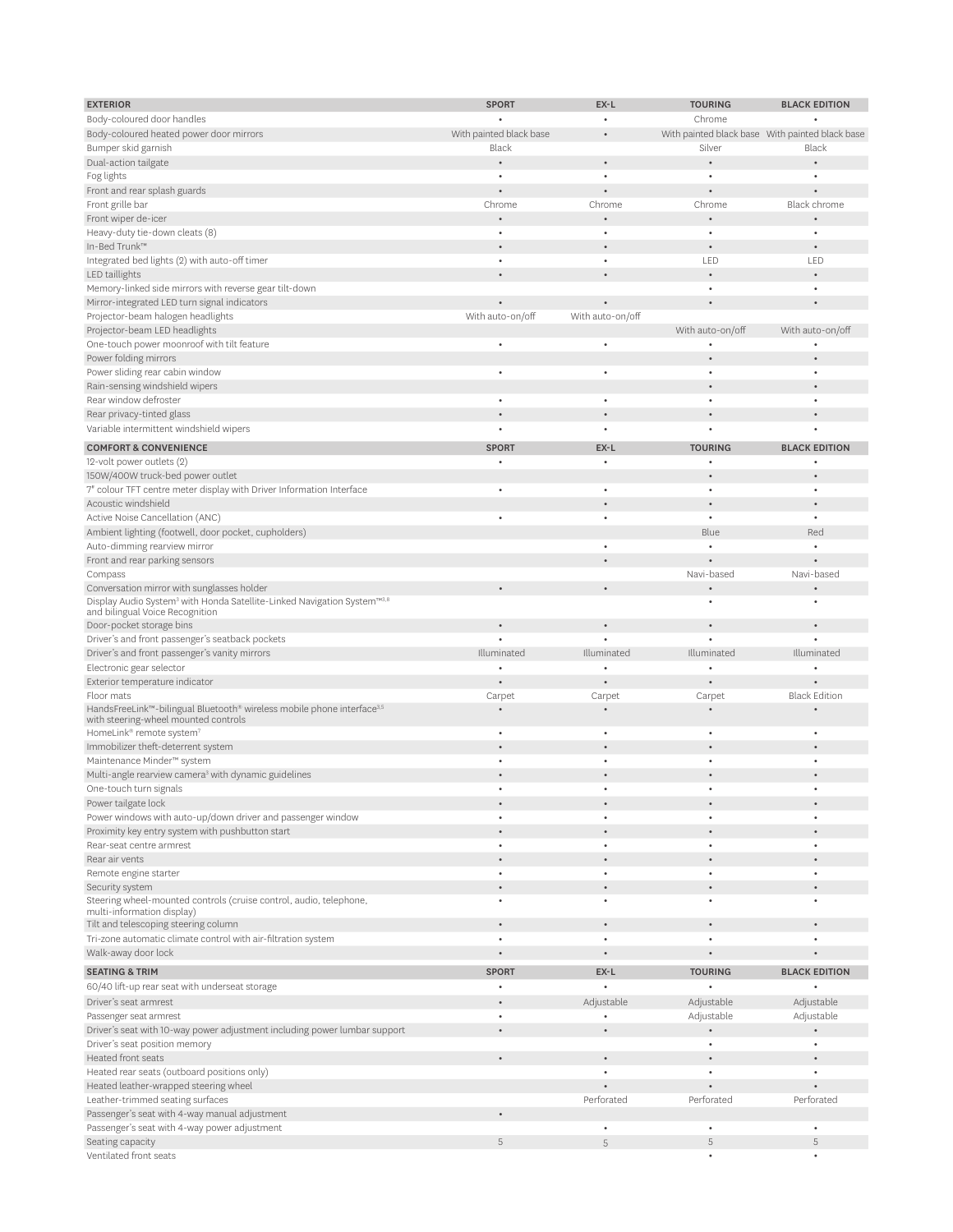| <b>EXTERIOR</b>                                                                                                        | <b>SPORT</b>            | EX-L             | <b>TOURING</b>                                  | <b>BLACK EDITION</b> |
|------------------------------------------------------------------------------------------------------------------------|-------------------------|------------------|-------------------------------------------------|----------------------|
| Body-coloured door handles                                                                                             |                         |                  | Chrome                                          |                      |
| Body-coloured heated power door mirrors                                                                                | With painted black base |                  | With painted black base With painted black base |                      |
| Bumper skid garnish                                                                                                    | Black                   |                  | Silver                                          | Black                |
| Dual-action tailgate                                                                                                   |                         |                  |                                                 |                      |
| Fog lights                                                                                                             | $\bullet$               | $\bullet$        | ٠                                               |                      |
| Front and rear splash guards                                                                                           |                         |                  |                                                 |                      |
| Front grille bar                                                                                                       | Chrome                  | Chrome           | Chrome                                          | Black chrome         |
| Front wiper de-icer                                                                                                    |                         |                  |                                                 |                      |
| Heavy-duty tie-down cleats (8)                                                                                         | $\bullet$               | $\bullet$        | $\bullet$                                       | ٠                    |
| In-Bed Trunk™                                                                                                          |                         |                  |                                                 |                      |
| Integrated bed lights (2) with auto-off timer                                                                          | $\bullet$               | ٠                | LED                                             | LED                  |
| LED taillights                                                                                                         |                         |                  |                                                 |                      |
| Memory-linked side mirrors with reverse gear tilt-down                                                                 |                         |                  | $\bullet$                                       | ٠                    |
| Mirror-integrated LED turn signal indicators                                                                           |                         |                  |                                                 |                      |
| Projector-beam halogen headlights                                                                                      | With auto-on/off        | With auto-on/off |                                                 |                      |
| Projector-beam LED headlights                                                                                          |                         |                  | With auto-on/off                                | With auto-on/off     |
| One-touch power moonroof with tilt feature                                                                             |                         | ٠                | ٠                                               |                      |
| Power folding mirrors<br>Power sliding rear cabin window                                                               | $\bullet$               | ٠                | $\bullet$                                       | ٠                    |
|                                                                                                                        |                         |                  |                                                 |                      |
| Rain-sensing windshield wipers<br>Rear window defroster                                                                |                         | $\bullet$        | ٠                                               | ٠                    |
|                                                                                                                        |                         |                  |                                                 |                      |
| Rear privacy-tinted glass                                                                                              |                         |                  |                                                 |                      |
| Variable intermittent windshield wipers                                                                                |                         |                  |                                                 |                      |
| <b>COMFORT &amp; CONVENIENCE</b>                                                                                       | <b>SPORT</b>            | EX-L             | <b>TOURING</b>                                  | <b>BLACK EDITION</b> |
| 12-volt power outlets (2)                                                                                              |                         | $\bullet$        |                                                 |                      |
| 150W/400W truck-bed power outlet                                                                                       |                         |                  |                                                 |                      |
| 7" colour TFT centre meter display with Driver Information Interface                                                   |                         |                  |                                                 | $\bullet$            |
| Acoustic windshield                                                                                                    |                         |                  |                                                 |                      |
| Active Noise Cancellation (ANC)                                                                                        |                         | $\bullet$        | $\bullet$                                       | ٠                    |
| Ambient lighting (footwell, door pocket, cupholders)                                                                   |                         |                  | Blue                                            | Red                  |
| Auto-dimming rearview mirror                                                                                           |                         |                  |                                                 | $\bullet$            |
| Front and rear parking sensors                                                                                         |                         |                  |                                                 |                      |
| Compass                                                                                                                |                         |                  | Navi-based                                      | Navi-based           |
| Conversation mirror with sunglasses holder                                                                             |                         |                  |                                                 |                      |
| Display Audio System <sup>3</sup> with Honda Satellite-Linked Navigation System™3.8<br>and bilingual Voice Recognition |                         |                  | ٠                                               | ٠                    |
| Door-pocket storage bins                                                                                               |                         |                  |                                                 |                      |
| Driver's and front passenger's seatback pockets                                                                        |                         |                  |                                                 |                      |
| Driver's and front passenger's vanity mirrors                                                                          | Illuminated             | Illuminated      | Illuminated                                     | Illuminated          |
| Electronic gear selector                                                                                               |                         |                  |                                                 |                      |
| Exterior temperature indicator                                                                                         |                         |                  |                                                 |                      |
| Floor mats                                                                                                             | Carpet                  | Carpet           | Carpet                                          | <b>Black Edition</b> |
| HandsFreeLink™-bilingual Bluetooth® wireless mobile phone interface <sup>3,5</sup>                                     |                         |                  |                                                 |                      |
| with steering-wheel mounted controls                                                                                   |                         |                  |                                                 |                      |
| HomeLink® remote system <sup>7</sup>                                                                                   | $\bullet$               | $\bullet$        | $\bullet$                                       | $\bullet$            |
| Immobilizer theft-deterrent system                                                                                     |                         |                  |                                                 |                      |
| Maintenance Minder™ system                                                                                             | $\bullet$               | $\bullet$        | $\bullet$                                       |                      |
| Multi-angle rearview camera <sup>3</sup> with dynamic guidelines                                                       |                         |                  |                                                 |                      |
| One-touch turn signals                                                                                                 |                         |                  |                                                 |                      |
| Power tailgate lock                                                                                                    |                         |                  |                                                 |                      |
| Power windows with auto-up/down driver and passenger window                                                            | $\bullet$               | $\bullet$        | $\bullet$                                       | $\bullet$            |
| Proximity key entry system with pushbutton start                                                                       |                         | $\bullet$        | $\bullet$                                       |                      |
| Rear-seat centre armrest<br>Rear air vents                                                                             |                         |                  |                                                 | ٠                    |
|                                                                                                                        |                         | $\bullet$        | $\bullet$                                       | ۰                    |
| Remote engine starter                                                                                                  |                         |                  |                                                 |                      |
| Security system<br>Steering wheel-mounted controls (cruise control, audio, telephone,                                  | $\bullet$               | $\bullet$        | $\bullet$                                       | $\bullet$            |
| multi-information display)                                                                                             |                         |                  |                                                 |                      |
| Tilt and telescoping steering column                                                                                   |                         | $\bullet$        | $\bullet$                                       | $\bullet$            |
| Tri-zone automatic climate control with air-filtration system                                                          | $\bullet$               | $\bullet$        | $\bullet$                                       | $\bullet$            |
| Walk-away door lock                                                                                                    |                         |                  |                                                 |                      |
| <b>SEATING &amp; TRIM</b>                                                                                              | <b>SPORT</b>            | EX-L             | <b>TOURING</b>                                  | <b>BLACK EDITION</b> |
| 60/40 lift-up rear seat with underseat storage                                                                         |                         |                  |                                                 |                      |
| Driver's seat armrest                                                                                                  |                         | Adjustable       | Adjustable                                      | Adjustable           |
| Passenger seat armrest                                                                                                 |                         |                  | Adjustable                                      | Adjustable           |
| Driver's seat with 10-way power adjustment including power lumbar support                                              |                         |                  |                                                 |                      |
| Driver's seat position memory                                                                                          |                         |                  | $\bullet$                                       | $\bullet$            |
| <b>Heated front seats</b>                                                                                              |                         | $\bullet$        |                                                 |                      |
| Heated rear seats (outboard positions only)                                                                            |                         |                  | $\bullet$                                       |                      |
| Heated leather-wrapped steering wheel                                                                                  |                         |                  |                                                 |                      |
| Leather-trimmed seating surfaces                                                                                       |                         | Perforated       | Perforated                                      | Perforated           |
| Passenger's seat with 4-way manual adjustment                                                                          |                         |                  |                                                 |                      |
| Passenger's seat with 4-way power adjustment                                                                           |                         | $\bullet$        | $\bullet$                                       |                      |
| Seating capacity                                                                                                       | 5                       | 5                | 5                                               | 5                    |
| Ventilated front seats                                                                                                 |                         |                  | ٠                                               | ٠                    |